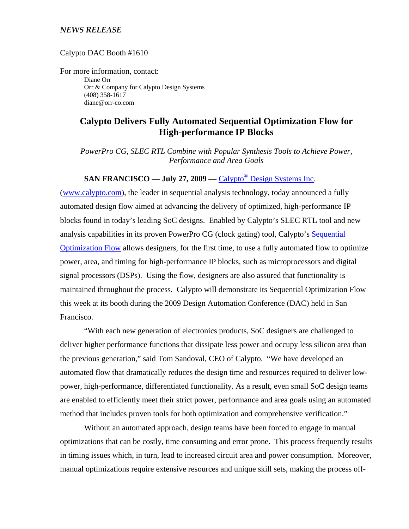## *NEWS RELEASE*

Calypto DAC Booth #1610

For more information, contact: Diane Orr Orr & Company for Calypto Design Systems (408) 358-1617 diane@orr-co.com

# **Calypto Delivers Fully Automated Sequential Optimization Flow for High-performance IP Blocks**

*PowerPro CG, SLEC RTL Combine with Popular Synthesis Tools to Achieve Power, Performance and Area Goals* 

# **SAN FRANCISCO — July 27, 2009 — Calypto<sup>®</sup> Design Systems Inc.**

(www.calypto.com), the leader in sequential analysis technology, today announced a fully automated design flow aimed at advancing the delivery of optimized, high-performance IP blocks found in today's leading SoC designs. Enabled by Calypto's SLEC RTL tool and new analysis capabilities in its proven PowerPro CG (clock gating) tool, Calypto's Sequential Optimization Flow allows designers, for the first time, to use a fully automated flow to optimize power, area, and timing for high-performance IP blocks, such as microprocessors and digital signal processors (DSPs). Using the flow, designers are also assured that functionality is maintained throughout the process. Calypto will demonstrate its Sequential Optimization Flow this week at its booth during the 2009 Design Automation Conference (DAC) held in San Francisco.

"With each new generation of electronics products, SoC designers are challenged to deliver higher performance functions that dissipate less power and occupy less silicon area than the previous generation," said Tom Sandoval, CEO of Calypto. "We have developed an automated flow that dramatically reduces the design time and resources required to deliver lowpower, high-performance, differentiated functionality. As a result, even small SoC design teams are enabled to efficiently meet their strict power, performance and area goals using an automated method that includes proven tools for both optimization and comprehensive verification."

Without an automated approach, design teams have been forced to engage in manual optimizations that can be costly, time consuming and error prone. This process frequently results in timing issues which, in turn, lead to increased circuit area and power consumption. Moreover, manual optimizations require extensive resources and unique skill sets, making the process off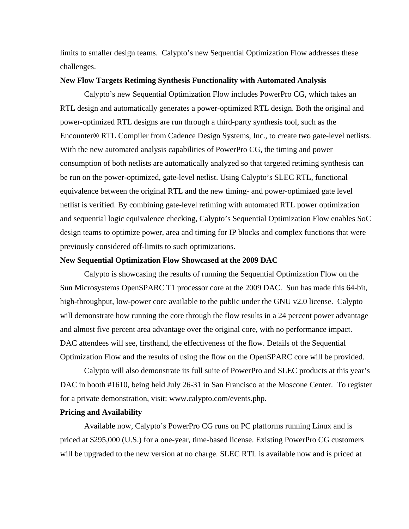limits to smaller design teams. Calypto's new Sequential Optimization Flow addresses these challenges.

### **New Flow Targets Retiming Synthesis Functionality with Automated Analysis**

Calypto's new Sequential Optimization Flow includes PowerPro CG, which takes an RTL design and automatically generates a power-optimized RTL design. Both the original and power-optimized RTL designs are run through a third-party synthesis tool, such as the Encounter® RTL Compiler from Cadence Design Systems, Inc., to create two gate-level netlists. With the new automated analysis capabilities of PowerPro CG, the timing and power consumption of both netlists are automatically analyzed so that targeted retiming synthesis can be run on the power-optimized, gate-level netlist. Using Calypto's SLEC RTL, functional equivalence between the original RTL and the new timing- and power-optimized gate level netlist is verified. By combining gate-level retiming with automated RTL power optimization and sequential logic equivalence checking, Calypto's Sequential Optimization Flow enables SoC design teams to optimize power, area and timing for IP blocks and complex functions that were previously considered off-limits to such optimizations.

#### **New Sequential Optimization Flow Showcased at the 2009 DAC**

Calypto is showcasing the results of running the Sequential Optimization Flow on the Sun Microsystems OpenSPARC T1 processor core at the 2009 DAC. Sun has made this 64-bit, high-throughput, low-power core available to the public under the GNU v2.0 license. Calypto will demonstrate how running the core through the flow results in a 24 percent power advantage and almost five percent area advantage over the original core, with no performance impact. DAC attendees will see, firsthand, the effectiveness of the flow. Details of the Sequential Optimization Flow and the results of using the flow on the OpenSPARC core will be provided.

Calypto will also demonstrate its full suite of PowerPro and SLEC products at this year's DAC in booth #1610, being held July 26-31 in San Francisco at the Moscone Center. To register for a private demonstration, visit: www.calypto.com/events.php.

#### **Pricing and Availability**

 Available now, Calypto's PowerPro CG runs on PC platforms running Linux and is priced at \$295,000 (U.S.) for a one-year, time-based license. Existing PowerPro CG customers will be upgraded to the new version at no charge. SLEC RTL is available now and is priced at